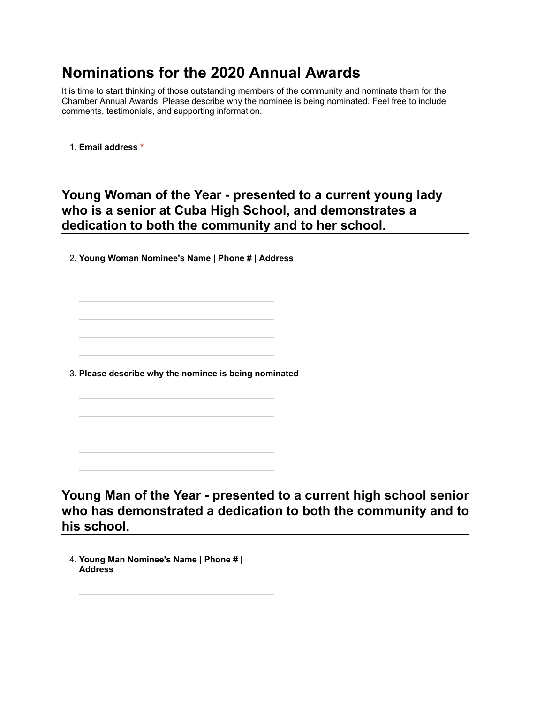## **Nominations for the 2020 Annual Awards**

It is time to start thinking of those outstanding members of the community and nominate them for the Chamber Annual Awards. Please describe why the nominee is being nominated. Feel free to include comments, testimonials, and supporting information.

1. **Email address \***

## Young Woman of the Year - presented to a current young lady **who is a senior at Cuba High School, and demonstrates a dedication to both the community and to her school.**

2. **Young Woman Nominee's Name | Phone # | Address**

3. **Please describe why the nominee is being nominated**

Young Man of the Year - presented to a current high school senior **who has demonstrated a dedication to both the community and to his school.**

4. **Young Man Nominee's Name | Phone # | Address**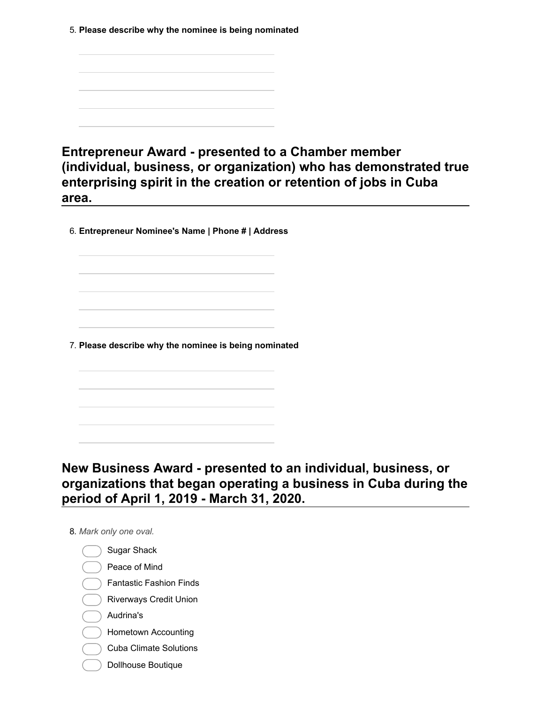5. **Please describe why the nominee is being nominated**

**Entrepreneur Award - presented to a Chamber member (individual, business, or organization) who has demonstrated true enterprising spirit in the creation or retention of jobs in Cuba area.**

6. **Entrepreneur Nominee's Name | Phone # | Address**

7. **Please describe why the nominee is being nominated**

**New Business Award presented to an individual, business, or organizations that began operating a business in Cuba during the period of April 1, 2019 March 31, 2020.**

8. *Mark only one oval.*

Sugar Shack Peace of Mind Fantastic Fashion Finds Riverways Credit Union Audrina's Hometown Accounting Cuba Climate Solutions Dollhouse Boutique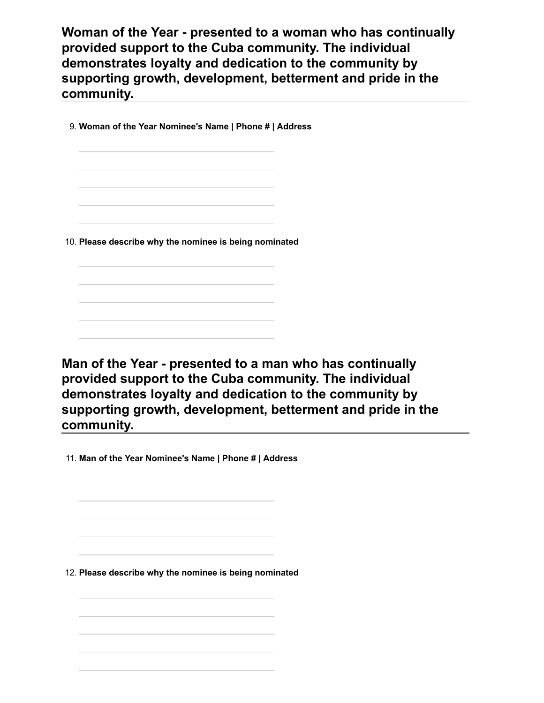**Woman of the Year - presented to a woman who has continually provided support to the Cuba community. The individual demonstrates loyalty and dedication to the community by supporting growth, development, betterment and pride in the community.**

9. **Woman of the Year Nominee's Name | Phone # | Address**

10. **Please describe why the nominee is being nominated**

Man of the Year - presented to a man who has continually **provided support to the Cuba community. The individual demonstrates loyalty and dedication to the community by supporting growth, development, betterment and pride in the community.**

11. **Man of the Year Nominee's Name | Phone # | Address**

12. **Please describe why the nominee is being nominated**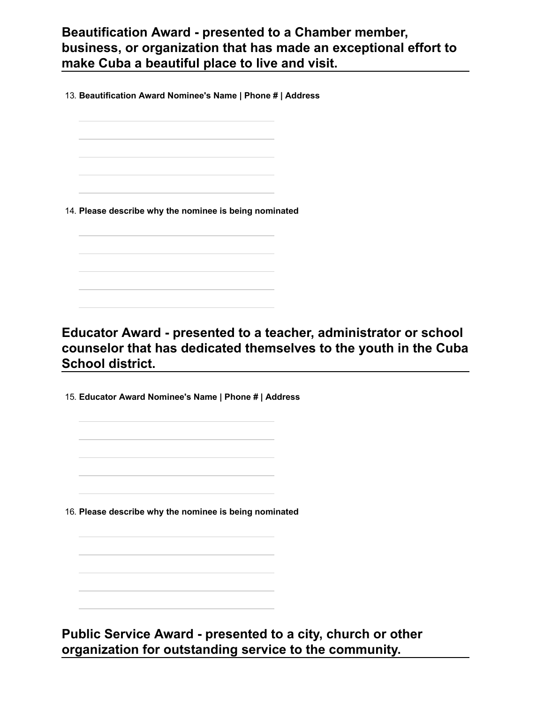## **Beautification Award presented to a Chamber member, business, or organization that has made an exceptional effort to make Cuba a beautiful place to live and visit.**

13. **Beautification Award Nominee's Name | Phone # | Address**

14. **Please describe why the nominee is being nominated**

## **Educator Award - presented to a teacher, administrator or school counselor that has dedicated themselves to the youth in the Cuba School district.**

15. **Educator Award Nominee's Name | Phone # | Address**

16. **Please describe why the nominee is being nominated**

Public Service Award - presented to a city, church or other **organization for outstanding service to the community.**